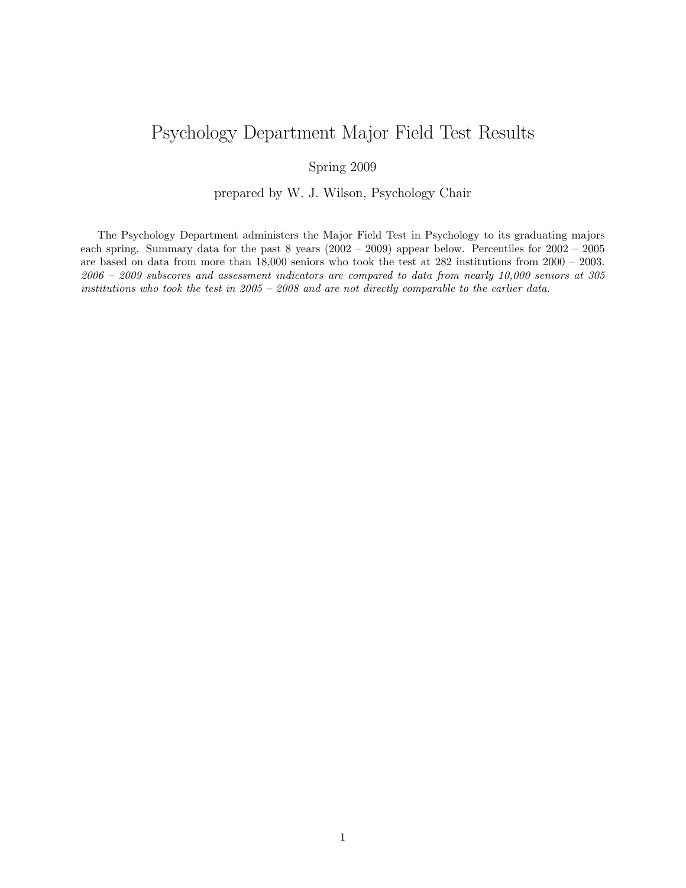## Psychology Department Major Field Test Results

## Spring 2009

## prepared by W. J. Wilson, Psychology Chair

The Psychology Department administers the Major Field Test in Psychology to its graduating majors each spring. Summary data for the past 8 years (2002 – 2009) appear below. Percentiles for 2002 – 2005 are based on data from more than 18,000 seniors who took the test at 282 institutions from 2000 – 2003. 2006 – 2009 subscores and assessment indicators are compared to data from nearly 10,000 seniors at 305 institutions who took the test in 2005 – 2008 and are not directly comparable to the earlier data.